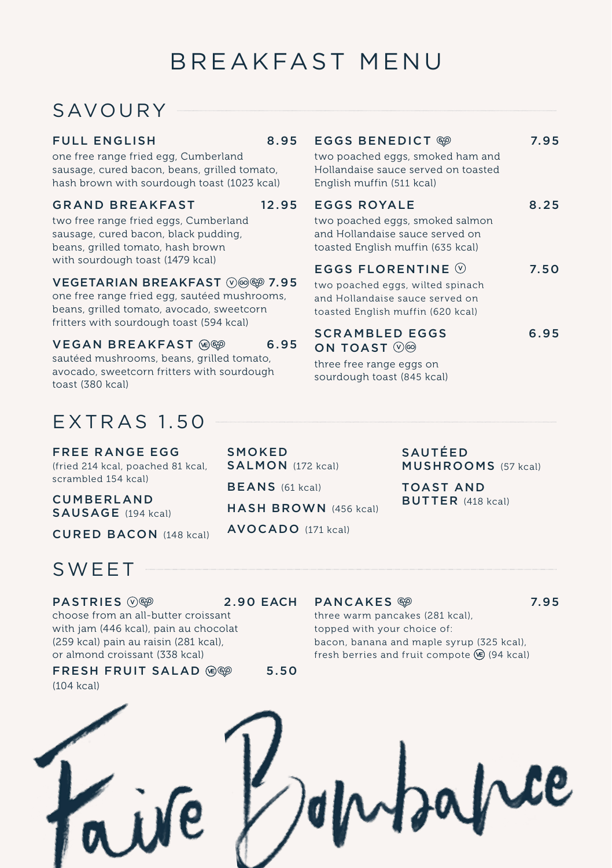# BREAKFAST MENU

## SAVOURY -

#### FULL ENGLISH 8.95

one free range fried egg, Cumberland sausage, cured bacon, beans, grilled tomato, hash brown with sourdough toast (1023 kcal)

#### GRAND BREAKFAST 12.95

two free range fried eggs, Cumberland sausage, cured bacon, black pudding, beans, grilled tomato, hash brown with sourdough toast (1479 kcal)

#### VEGETARIAN BREAKFAST (V) @ 7.95

one free range fried egg, sautéed mushrooms, beans, grilled tomato, avocado, sweetcorn fritters with sourdough toast (594 kcal)

#### VEGAN BREAKFAST @<sup>@</sup> 6.95

sautéed mushrooms, beans, grilled tomato, avocado, sweetcorn fritters with sourdough toast (380 kcal)

## EXTRAS 1.50

FREE RANGE EGG (fried 214 kcal, poached 81 kcal, scrambled 154 kcal)

CUMBERLAND SAUSAGE (194 kcal)

CURED BACON (148 kcal)

## SWEET

PASTRIES  $\oslash\circledast$  2.90 EACH

#### choose from an all-butter croissant with jam (446 kcal), pain au chocolat (259 kcal) pain au raisin (281 kcal), or almond croissant (338 kcal)

## FRESH FRUIT SALAD @<sup>@</sup> 5.50

(104 kcal)

#### EGGS BENEDICT <sup>669</sup> 7.95

two poached eggs, smoked ham and Hollandaise sauce served on toasted English muffin (511 kcal)

#### EGGS ROYALE 8.25

two poached eggs, smoked salmon and Hollandaise sauce served on toasted English muffin (635 kcal)

### EGGS FLORENTINE  $\heartsuit$  7.50

two poached eggs, wilted spinach and Hollandaise sauce served on toasted English muffin (620 kcal)

#### SCRAMBLED EGGS 6.95 ON TOAST  $\circledcirc$

three free range eggs on sourdough toast (845 kcal)

> SAUTÉED MUSHROOMS (57 kcal)

TOAST AND BUTTER (418 kcal)

### SALMON (172 kcal) BEANS (61 kcal)

**SMOKED** 

HASH BROWN (456 kcal)

AVOCADO (171 kcal)

PANCAKES <sup>®</sup> 7.95

three warm pancakes (281 kcal), topped with your choice of: bacon, banana and maple syrup (325 kcal), fresh berries and fruit compote  $\circledast$  (94 kcal)

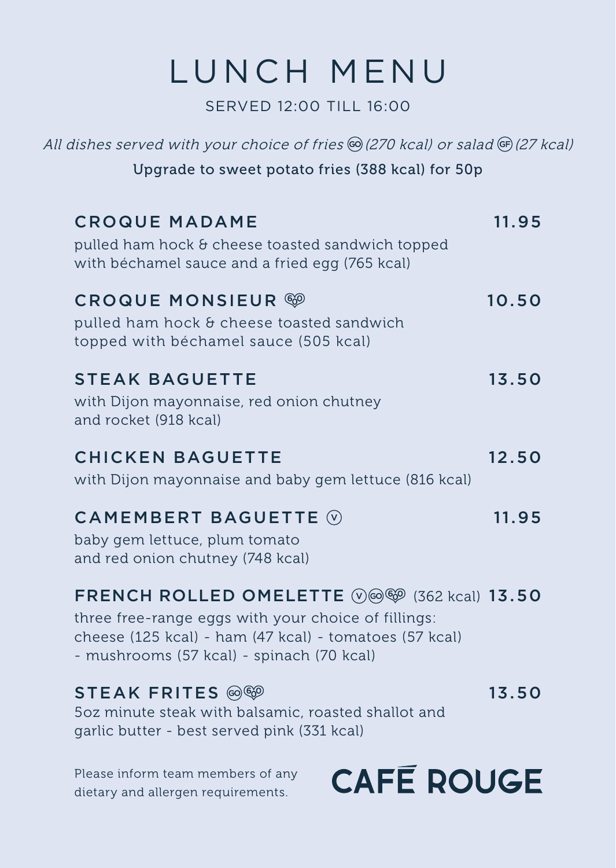# LUNCH MENU

SERVED 12:00 TILL 16:00

| All dishes served with your choice of fries © (270 kcal) or salad © (27 kcal)                                                                                                                                                       |       |
|-------------------------------------------------------------------------------------------------------------------------------------------------------------------------------------------------------------------------------------|-------|
| Upgrade to sweet potato fries (388 kcal) for 50p                                                                                                                                                                                    |       |
| <b>CROQUE MADAME</b><br>pulled ham hock & cheese toasted sandwich topped<br>with béchamel sauce and a fried egg (765 kcal)                                                                                                          | 11.95 |
| <b>CROQUE MONSIEUR ®</b><br>pulled ham hock & cheese toasted sandwich<br>topped with béchamel sauce (505 kcal)                                                                                                                      | 10.50 |
| <b>STEAK BAGUETTE</b><br>with Dijon mayonnaise, red onion chutney<br>and rocket (918 kcal)                                                                                                                                          | 13.50 |
| <b>CHICKEN BAGUETTE</b><br>with Dijon mayonnaise and baby gem lettuce (816 kcal)                                                                                                                                                    | 12.50 |
| <b>CAMEMBERT BAGUETTE</b> $\circledcirc$<br>baby gem lettuce, plum tomato<br>and red onion chutney (748 kcal)                                                                                                                       | 11.95 |
| FRENCH ROLLED OMELETTE $\oslash$ $\otimes$ $\oslash$ (362 kcal) 13.50<br>three free-range eggs with your choice of fillings:<br>cheese (125 kcal) - ham (47 kcal) - tomatoes (57 kcal)<br>- mushrooms (57 kcal) - spinach (70 kcal) |       |
| STEAK FRITES @<br>502 minute steak with balsamic, roasted shallot and<br>garlic butter - best served pink (331 kcal)                                                                                                                | 13.50 |
| Please inform team members of any<br><b>CAFE ROUGE</b><br>distance and allergen requirements                                                                                                                                        |       |

dietary and allergen requirements.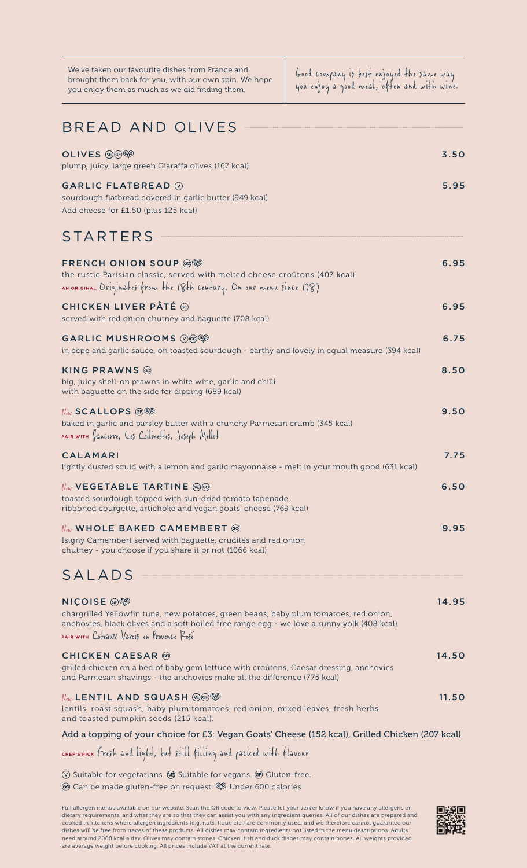| We've taken our favourite dishes from France and      |
|-------------------------------------------------------|
| brought them back for you, with our own spin. We hope |
| you enjoy them as much as we did finding them.        |

Good company is best enjoyed the same way you enjoy a good meal, often and with wine.

| <b>BREAD AND OLIVES</b>                                                                                                                                                                                                                              |       |
|------------------------------------------------------------------------------------------------------------------------------------------------------------------------------------------------------------------------------------------------------|-------|
| OLIVES (@@@@<br>plump, juicy, large green Giaraffa olives (167 kcal)                                                                                                                                                                                 | 3.50  |
| <b>GARLIC FLATBREAD</b> $\circledcirc$<br>sourdough flatbread covered in garlic butter (949 kcal)<br>Add cheese for £1.50 (plus 125 kcal)                                                                                                            | 5.95  |
| <b>STARTERS</b>                                                                                                                                                                                                                                      |       |
| FRENCH ONION SOUP @<br>the rustic Parisian classic, served with melted cheese croûtons (407 kcal)<br>AN ORIGINAL Originates from the 18th century. On our menu since 1989                                                                            | 6.95  |
| CHICKEN LIVER PÂTÉ <sup>◎</sup><br>served with red onion chutney and baguette (708 kcal)                                                                                                                                                             | 6.95  |
| GARLIC MUSHROOMS W@@<br>in cèpe and garlic sauce, on toasted sourdough - earthy and lovely in equal measure (394 kcal)                                                                                                                               | 6.75  |
| KING PRAWNS @<br>big, juicy shell-on prawns in white wine, garlic and chilli<br>with baguette on the side for dipping (689 kcal)                                                                                                                     | 8.50  |
| New SCALLOPS (⊕) ®<br>baked in garlic and parsley butter with a crunchy Parmesan crumb (345 kcal)<br>PAIR WITH Sancerre, Les Collinettes, Joseph Mellot                                                                                              | 9.50  |
| CALAMARI<br>lightly dusted squid with a lemon and garlic mayonnaise - melt in your mouth good (631 kcal)                                                                                                                                             | 7.75  |
| $\mathcal{N}_{\epsilon\omega}$ <code>VEGETABLE</code> TARTINE $\langle\mathbf{e}\rangle$<br>toasted sourdough topped with sun-dried tomato tapenade,<br>ribboned courgette, artichoke and vegan goats' cheese (769 kcal)                             | 6.50  |
| $\mathcal{N}_{\epsilon\omega}$ whole baked camembert $\circledcirc$<br>Isigny Camembert served with baguette, crudités and red onion<br>chutney - you choose if you share it or not (1066 kcal)                                                      | 9.95  |
| SALADS                                                                                                                                                                                                                                               |       |
| <b>NICOISE</b> 的<br>chargrilled Yellowfin tuna, new potatoes, green beans, baby plum tomatoes, red onion,<br>anchovies, black olives and a soft boiled free range egg - we love a runny yolk (408 kcal)<br>PAIR WITH CoteJUX VIrols en Provence Rose | 14.95 |
| <b>CHICKEN CAESAR</b> @<br>grilled chicken on a bed of baby gem lettuce with croûtons, Caesar dressing, anchovies<br>and Parmesan shavings - the anchovies make all the difference (775 kcal)                                                        | 14.50 |
| $\mathbb{N}_{\epsilon\omega}$ LENTIL AND SQUASH $\circledcirc\circledcirc\circledcirc$<br>lentils, roast squash, baby plum tomatoes, red onion, mixed leaves, fresh herbs<br>and toasted pumpkin seeds (215 kcal).                                   | 11.50 |
| Add a topping of your choice for £3: Vegan Goats' Cheese (152 kcal), Grilled Chicken (207 kcal)                                                                                                                                                      |       |

Fresh and light, but still filling and packed with flavour

 $\circledR$  Suitable for vegetarians.  $\circledR$  Suitable for vegans.  $\circledR$  Gluten-free.

Can be made gluten-free on request. Under 600 calories

Full allergen menus available on our website. Scan the QR code to view. Please let your server know if you have any allergens or dietary requirements, and what they are so that they can assist you with any ingredient queries. All of our dishes are prepared and cooked in kitchens where allergen ingredients (e.g. nuts, flour, etc.) are commonly used, and we therefore cannot guarantee our<br>dishes will be free from traces of these products. All dishes may contain ingredients not list are average weight before cooking. All prices include VAT at the current rate.

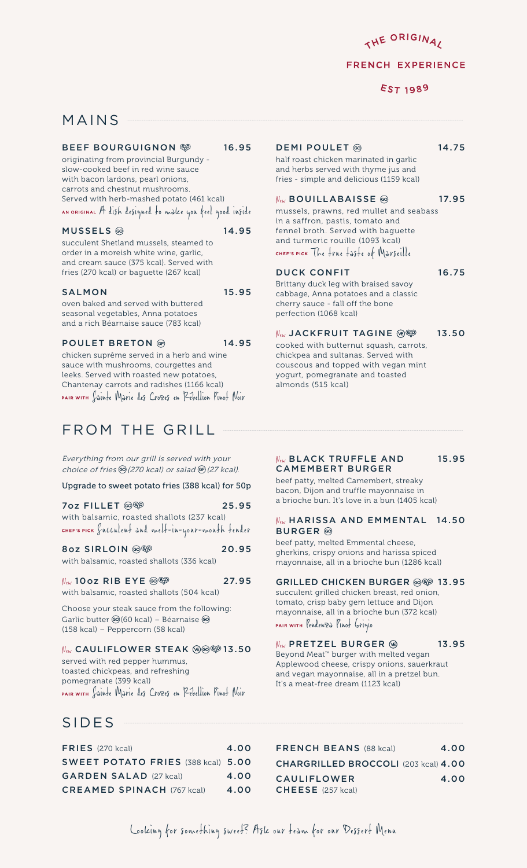THE ORIGINA,

#### **FRENCH EXPERIENCE**

**EST 1989** 

### MAINS

#### BEEF BOURGUIGNON <sup>®</sup> 16.95

originating from provincial Burgundy slow-cooked beef in red wine sauce with bacon lardons, pearl onions, carrots and chestnut mushrooms. Served with herb-mashed potato (461 kcal) an original A dish designed to make you feel good inside

#### $MUSSELS \textcircled{9}$  14.95

succulent Shetland mussels, steamed to order in a moreish white wine, garlic, and cream sauce (375 kcal). Served with fries (270 kcal) or baguette (267 kcal)

#### SALMON 15.95

oven baked and served with buttered seasonal vegetables, Anna potatoes and a rich Béarnaise sauce (783 kcal)

POULET BRETON @ 14.95

chicken suprême served in a herb and wine sauce with mushrooms, courgettes and leeks. Served with roasted new potatoes, Chantenay carrots and radishes (1166 kcal) Sainte Marie des Crozes en Rébellion Pinot Noir

## FROM THE GRILL

Everything from our grill is served with your choice of fries  $\textcircled{a}(270 \text{ kcal})$  or salad  $\textcircled{e}(27 \text{ kcal})$ .

Upgrade to sweet potato fries (388 kcal) for 50p

| 7oz FILLET ◎ <sup>699</sup>                         | 25.95 |
|-----------------------------------------------------|-------|
| with balsamic, roasted shallots (237 kcal)          |       |
| CHEF'S PICK Succulent and melt-in-your-mouth tender |       |

8oz SIRLOIN @@ 20.95 with balsamic, roasted shallots (336 kcal)

### $N_{\text{ew}}$  10oz RIB EYE @ $\circledcirc$  27.95

with balsamic, roasted shallots (504 kcal) Choose your steak sauce from the following:

Garlic butter @(60 kcal) - Béarnaise @ (158 kcal) – Peppercorn (58 kcal)

### New CAULIFLOWER STEAK (®<sup>©©</sup>13.50

served with red pepper hummus, toasted chickpeas, and refreshing pomegranate (399 kcal) PAIR WITH Sainte Marie des Crozes en Rébellion Pinot Noir

## SIDES

### FRIES (270 kcal) 4.00 SWEET POTATO FRIES (388 kcal) 5.00 GARDEN SALAD (27 kcal) 4.00 CREAMED SPINACH (767 kcal) 4.00

### DEMI POULET @ 14.75

half roast chicken marinated in garlic and herbs served with thyme jus and fries - simple and delicious (1159 kcal)

#### $N_{\text{ew}}$  BOUILLABAISSE  $\circledcirc$  17.95

mussels, prawns, red mullet and seabass in a saffron, pastis, tomato and fennel broth. Served with baguette and turmeric rouille (1093 kcal) CHEF'S PICK The frue faste of Marseille

#### DUCK CONFIT 16.75

Brittany duck leg with braised savoy cabbage, Anna potatoes and a classic cherry sauce - fall off the bone perfection (1068 kcal)

### $N_{\text{ew}}$  JACKFRUIT TAGINE  $\circledcirc\hspace{0.1cm}$  13.50

cooked with butternut squash, carrots, chickpea and sultanas. Served with couscous and topped with vegan mint yogurt, pomegranate and toasted almonds (515 kcal)

#### $N_{ew}$  BLACK TRUFFLE AND 15.95 CAMEMBERT BURGER

beef patty, melted Camembert, streaky bacon, Dijon and truffle mayonnaise in a brioche bun. It's love in a bun (1405 kcal)

#### New HARISSA AND EMMENTAL 14.50 BURGER<sup>®</sup>

beef patty, melted Emmental cheese, gherkins, crispy onions and harissa spiced mayonnaise, all in a brioche bun (1286 kcal)

#### GRILLED CHICKEN BURGER @ 13.95

succulent grilled chicken breast, red onion, tomato, crisp baby gem lettuce and Dijon mayonnaise, all in a brioche bun (372 kcal) PAIR WITH Pendenza Pinot Grigio

### $N_{ew}$  PRETZEL BURGER  $\circledcirc$  13.95

Beyond Meat™ burger with melted vegan Applewood cheese, crispy onions, sauerkraut and vegan mayonnaise, all in a pretzel bun. It's a meat-free dream (1123 kcal)

FRENCH BEANS (88 kcal) 4.00 CHARGRILLED BROCCOLI (203 kcal) 4.00 CAULIFLOWER 4.00 CHEESE (257 kcal)

Looking for something sweet? Ask our team for our Dessert Menu